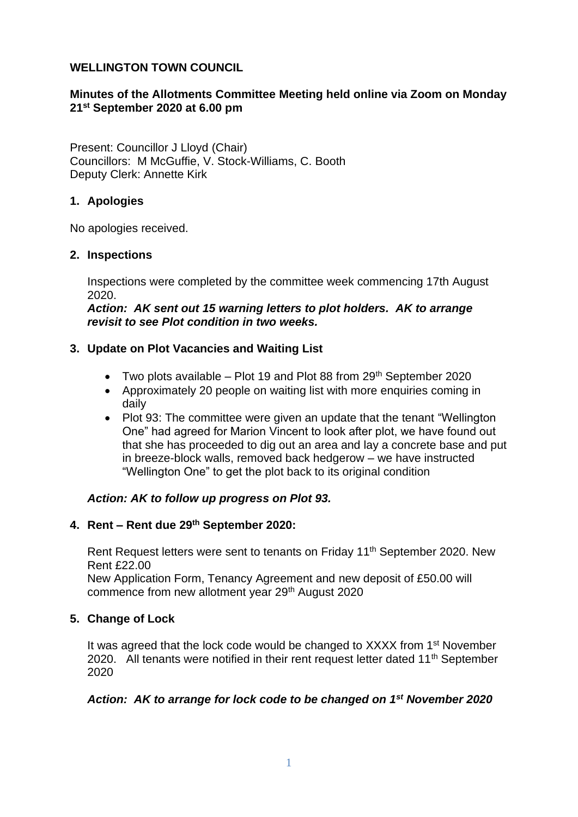### **WELLINGTON TOWN COUNCIL**

# **Minutes of the Allotments Committee Meeting held online via Zoom on Monday 21st September 2020 at 6.00 pm**

Present: Councillor J Lloyd (Chair) Councillors: M McGuffie, V. Stock-Williams, C. Booth Deputy Clerk: Annette Kirk

## **1. Apologies**

No apologies received.

### **2. Inspections**

Inspections were completed by the committee week commencing 17th August 2020.

*Action: AK sent out 15 warning letters to plot holders. AK to arrange revisit to see Plot condition in two weeks.*

### **3. Update on Plot Vacancies and Waiting List**

- Two plots available  $-$  Plot 19 and Plot 88 from 29<sup>th</sup> September 2020
- Approximately 20 people on waiting list with more enquiries coming in daily
- Plot 93: The committee were given an update that the tenant "Wellington" One" had agreed for Marion Vincent to look after plot, we have found out that she has proceeded to dig out an area and lay a concrete base and put in breeze-block walls, removed back hedgerow – we have instructed "Wellington One" to get the plot back to its original condition

### *Action: AK to follow up progress on Plot 93.*

### **4. Rent – Rent due 29th September 2020:**

Rent Request letters were sent to tenants on Friday 11<sup>th</sup> September 2020. New Rent £22.00

New Application Form, Tenancy Agreement and new deposit of £50.00 will commence from new allotment year 29th August 2020

### **5. Change of Lock**

It was agreed that the lock code would be changed to XXXX from 1<sup>st</sup> November 2020. All tenants were notified in their rent request letter dated 11<sup>th</sup> September 2020

### *Action: AK to arrange for lock code to be changed on 1st November 2020*